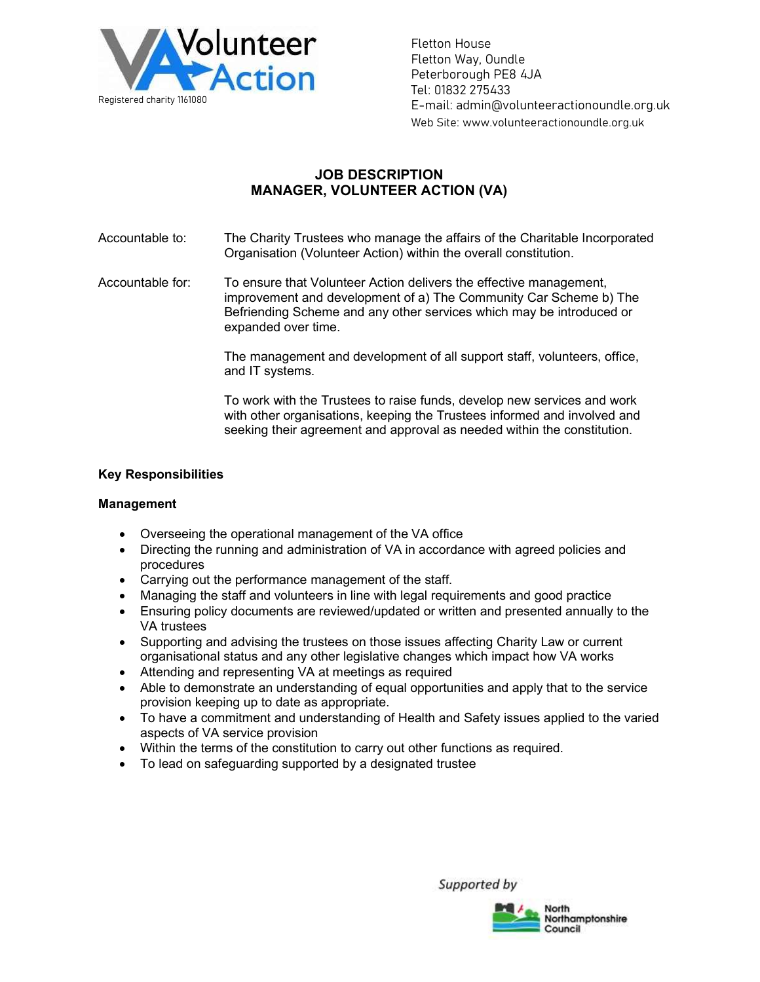

Fletton House Fletton Way, Oundle Peterborough PE8 4JA Tel: 01832 275433 E-mail: admin@volunteeractionoundle.org.uk Web Site: www.volunteeractionoundle.org.uk

# JOB DESCRIPTION MANAGER, VOLUNTEER ACTION (VA)

Accountable to: The Charity Trustees who manage the affairs of the Charitable Incorporated Organisation (Volunteer Action) within the overall constitution.

Accountable for: To ensure that Volunteer Action delivers the effective management, improvement and development of a) The Community Car Scheme b) The Befriending Scheme and any other services which may be introduced or expanded over time.

> The management and development of all support staff, volunteers, office, and IT systems.

> To work with the Trustees to raise funds, develop new services and work with other organisations, keeping the Trustees informed and involved and seeking their agreement and approval as needed within the constitution.

### Key Responsibilities

### Management

- Overseeing the operational management of the VA office
- Directing the running and administration of VA in accordance with agreed policies and procedures
- Carrying out the performance management of the staff.
- Managing the staff and volunteers in line with legal requirements and good practice
- Ensuring policy documents are reviewed/updated or written and presented annually to the VA trustees
- Supporting and advising the trustees on those issues affecting Charity Law or current organisational status and any other legislative changes which impact how VA works
- Attending and representing VA at meetings as required
- Able to demonstrate an understanding of equal opportunities and apply that to the service provision keeping up to date as appropriate.
- To have a commitment and understanding of Health and Safety issues applied to the varied aspects of VA service provision
- Within the terms of the constitution to carry out other functions as required.
- To lead on safeguarding supported by a designated trustee

Supported by